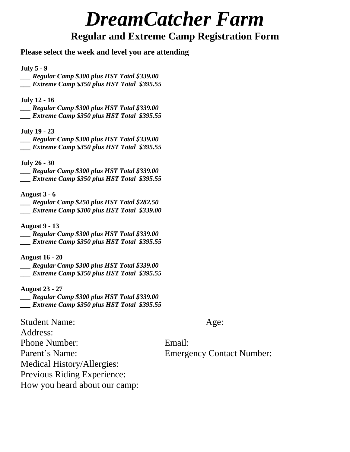# *DreamCatcher Farm*

# **Regular and Extreme Camp Registration Form**

## **Please select the week and level you are attending**

#### **July 5 - 9**

*\_\_\_ Regular Camp \$300 plus HST Total \$339.00 \_\_\_ Extreme Camp \$350 plus HST Total \$395.55*

#### **July 12 - 16**

*\_\_\_ Regular Camp \$300 plus HST Total \$339.00 \_\_\_ Extreme Camp \$350 plus HST Total \$395.55*

#### **July 19 - 23**

*\_\_\_ Regular Camp \$300 plus HST Total \$339.00 \_\_\_ Extreme Camp \$350 plus HST Total \$395.55*

#### **July 26 - 30**

- *\_\_\_ Regular Camp \$300 plus HST Total \$339.00*
- *\_\_\_ Extreme Camp \$350 plus HST Total \$395.55*

#### **August 3 - 6**

*\_\_\_ Regular Camp \$250 plus HST Total \$282.50 \_\_\_ Extreme Camp \$300 plus HST Total \$339.00*

#### **August 9 - 13**

*\_\_\_ Regular Camp \$300 plus HST Total \$339.00 \_\_\_ Extreme Camp \$350 plus HST Total \$395.55*

#### **August 16 - 20**

*\_\_\_ Regular Camp \$300 plus HST Total \$339.00 \_\_\_ Extreme Camp \$350 plus HST Total \$395.55*

**August 23 - 27**

*\_\_\_ Regular Camp \$300 plus HST Total \$339.00 \_\_\_ Extreme Camp \$350 plus HST Total \$395.55*

### Student Name: Age:

Address: Phone Number: Email: Parent's Name: Emergency Contact Number: Medical History/Allergies: Previous Riding Experience: How you heard about our camp: